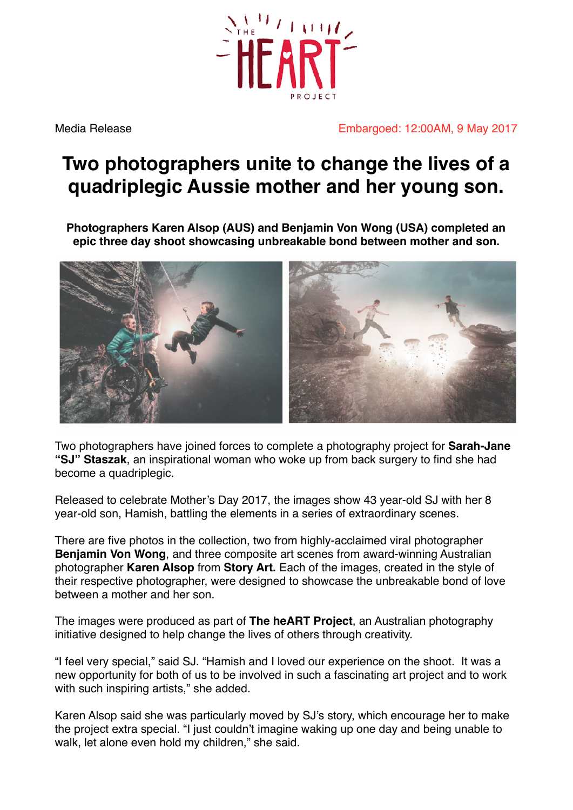

Media Release **Embargoed: 12:00AM, 9 May 2017** 

## **Two photographers unite to change the lives of a quadriplegic Aussie mother and her young son.**

**Photographers Karen Alsop (AUS) and Benjamin Von Wong (USA) completed an epic three day shoot showcasing unbreakable bond between mother and son.** 



Two photographers have joined forces to complete a photography project for **Sarah-Jane "SJ" Staszak**, an inspirational woman who woke up from back surgery to find she had become a quadriplegic.

Released to celebrate Mother's Day 2017, the images show 43 year-old SJ with her 8 year-old son, Hamish, battling the elements in a series of extraordinary scenes.

There are five photos in the collection, two from highly-acclaimed viral photographer **Benjamin Von Wong**, and three composite art scenes from award-winning Australian photographer **Karen Alsop** from **Story Art.** Each of the images, created in the style of their respective photographer, were designed to showcase the unbreakable bond of love between a mother and her son.

The images were produced as part of **The heART Project**, an Australian photography initiative designed to help change the lives of others through creativity.

"I feel very special," said SJ. "Hamish and I loved our experience on the shoot. It was a new opportunity for both of us to be involved in such a fascinating art project and to work with such inspiring artists," she added.

Karen Alsop said she was particularly moved by SJ's story, which encourage her to make the project extra special. "I just couldn't imagine waking up one day and being unable to walk, let alone even hold my children," she said.